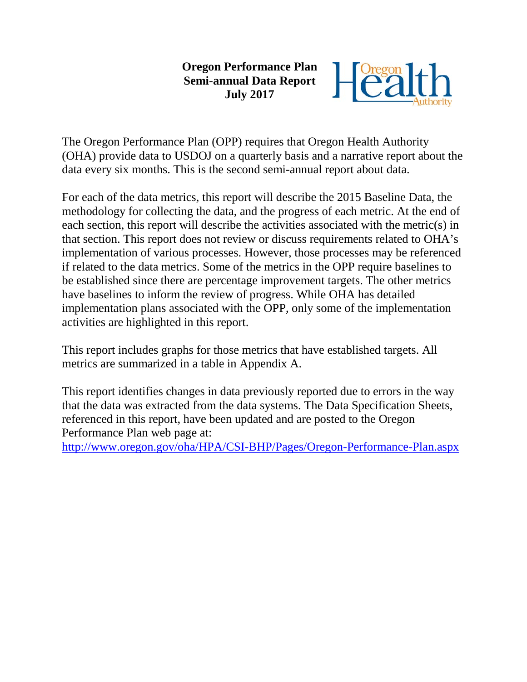#### **Oregon Performance Plan Semi-annual Data Report July 2017**



The Oregon Performance Plan (OPP) requires that Oregon Health Authority (OHA) provide data to USDOJ on a quarterly basis and a narrative report about the data every six months. This is the second semi-annual report about data.

For each of the data metrics, this report will describe the 2015 Baseline Data, the methodology for collecting the data, and the progress of each metric. At the end of each section, this report will describe the activities associated with the metric(s) in that section. This report does not review or discuss requirements related to OHA's implementation of various processes. However, those processes may be referenced if related to the data metrics. Some of the metrics in the OPP require baselines to be established since there are percentage improvement targets. The other metrics have baselines to inform the review of progress. While OHA has detailed implementation plans associated with the OPP, only some of the implementation activities are highlighted in this report.

This report includes graphs for those metrics that have established targets. All metrics are summarized in a table in Appendix A.

This report identifies changes in data previously reported due to errors in the way that the data was extracted from the data systems. The Data Specification Sheets, referenced in this report, have been updated and are posted to the Oregon Performance Plan web page at:

<http://www.oregon.gov/oha/HPA/CSI-BHP/Pages/Oregon-Performance-Plan.aspx>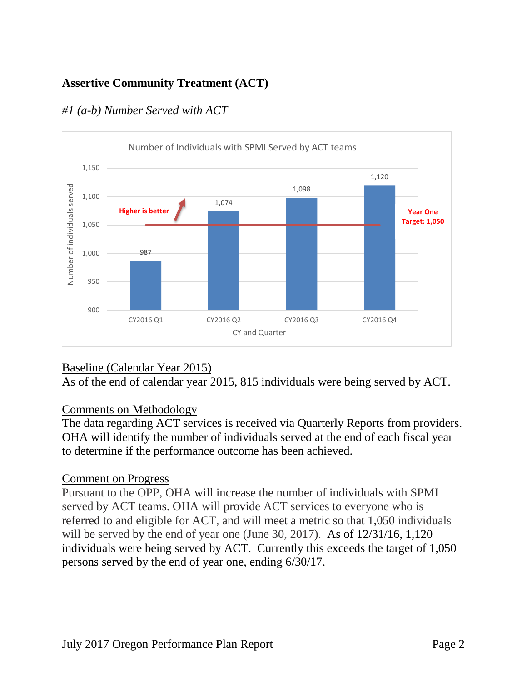# **Assertive Community Treatment (ACT)**



# *#1 (a-b) Number Served with ACT*

## Baseline (Calendar Year 2015)

As of the end of calendar year 2015, 815 individuals were being served by ACT.

## Comments on Methodology

The data regarding ACT services is received via Quarterly Reports from providers. OHA will identify the number of individuals served at the end of each fiscal year to determine if the performance outcome has been achieved.

## Comment on Progress

Pursuant to the OPP, OHA will increase the number of individuals with SPMI served by ACT teams. OHA will provide ACT services to everyone who is referred to and eligible for ACT, and will meet a metric so that 1,050 individuals will be served by the end of year one (June 30, 2017). As of  $12/31/16$ , 1,120 individuals were being served by ACT. Currently this exceeds the target of 1,050 persons served by the end of year one, ending 6/30/17.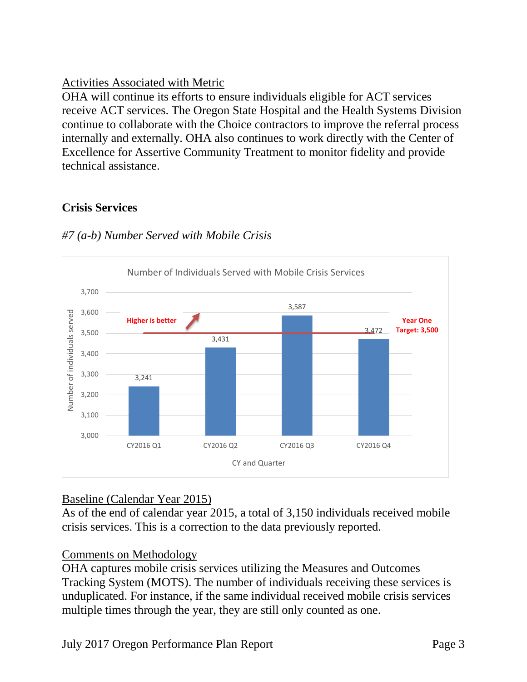# Activities Associated with Metric

OHA will continue its efforts to ensure individuals eligible for ACT services receive ACT services. The Oregon State Hospital and the Health Systems Division continue to collaborate with the Choice contractors to improve the referral process internally and externally. OHA also continues to work directly with the Center of Excellence for Assertive Community Treatment to monitor fidelity and provide technical assistance.

# **Crisis Services**



# *#7 (a-b) Number Served with Mobile Crisis*

# Baseline (Calendar Year 2015)

As of the end of calendar year 2015, a total of 3,150 individuals received mobile crisis services. This is a correction to the data previously reported.

## Comments on Methodology

OHA captures mobile crisis services utilizing the Measures and Outcomes Tracking System (MOTS). The number of individuals receiving these services is unduplicated. For instance, if the same individual received mobile crisis services multiple times through the year, they are still only counted as one.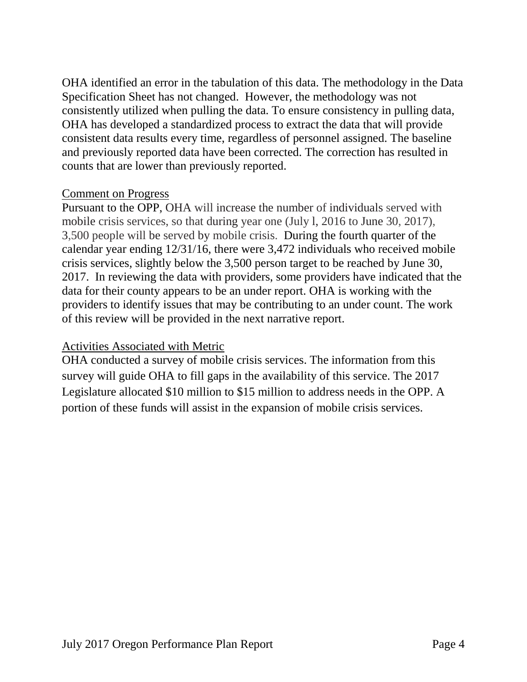OHA identified an error in the tabulation of this data. The methodology in the Data Specification Sheet has not changed. However, the methodology was not consistently utilized when pulling the data. To ensure consistency in pulling data, OHA has developed a standardized process to extract the data that will provide consistent data results every time, regardless of personnel assigned. The baseline and previously reported data have been corrected. The correction has resulted in counts that are lower than previously reported.

### Comment on Progress

Pursuant to the OPP, OHA will increase the number of individuals served with mobile crisis services, so that during year one (July l, 2016 to June 30, 2017), 3,500 people will be served by mobile crisis. During the fourth quarter of the calendar year ending 12/31/16, there were 3,472 individuals who received mobile crisis services, slightly below the 3,500 person target to be reached by June 30, 2017. In reviewing the data with providers, some providers have indicated that the data for their county appears to be an under report. OHA is working with the providers to identify issues that may be contributing to an under count. The work of this review will be provided in the next narrative report.

## Activities Associated with Metric

OHA conducted a survey of mobile crisis services. The information from this survey will guide OHA to fill gaps in the availability of this service. The 2017 Legislature allocated \$10 million to \$15 million to address needs in the OPP. A portion of these funds will assist in the expansion of mobile crisis services.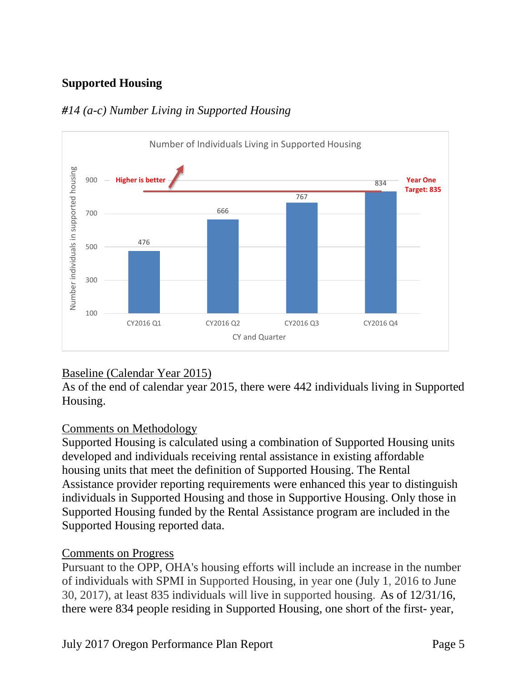# **Supported Housing**



## *#14 (a-c) Number Living in Supported Housing*

## Baseline (Calendar Year 2015)

As of the end of calendar year 2015, there were 442 individuals living in Supported Housing.

## Comments on Methodology

Supported Housing is calculated using a combination of Supported Housing units developed and individuals receiving rental assistance in existing affordable housing units that meet the definition of Supported Housing. The Rental Assistance provider reporting requirements were enhanced this year to distinguish individuals in Supported Housing and those in Supportive Housing. Only those in Supported Housing funded by the Rental Assistance program are included in the Supported Housing reported data.

### Comments on Progress

Pursuant to the OPP, OHA's housing efforts will include an increase in the number of individuals with SPMI in Supported Housing, in year one (July 1, 2016 to June 30, 2017), at least 835 individuals will live in supported housing. As of 12/31/16, there were 834 people residing in Supported Housing, one short of the first- year,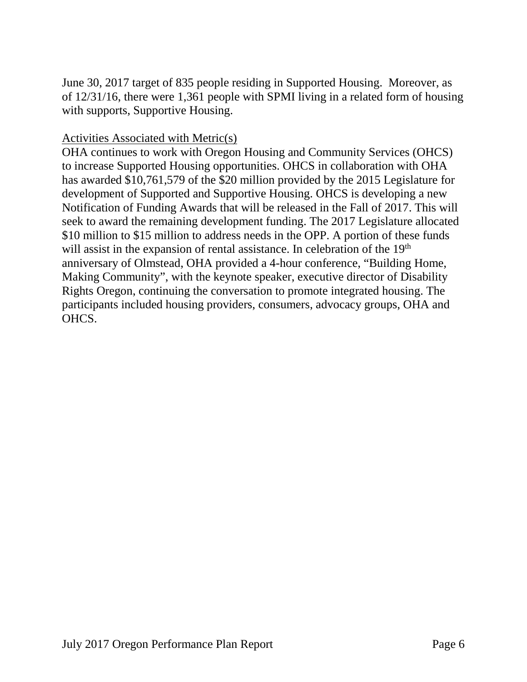June 30, 2017 target of 835 people residing in Supported Housing. Moreover, as of 12/31/16, there were 1,361 people with SPMI living in a related form of housing with supports, Supportive Housing.

### Activities Associated with Metric(s)

OHA continues to work with Oregon Housing and Community Services (OHCS) to increase Supported Housing opportunities. OHCS in collaboration with OHA has awarded \$10,761,579 of the \$20 million provided by the 2015 Legislature for development of Supported and Supportive Housing. OHCS is developing a new Notification of Funding Awards that will be released in the Fall of 2017. This will seek to award the remaining development funding. The 2017 Legislature allocated \$10 million to \$15 million to address needs in the OPP. A portion of these funds will assist in the expansion of rental assistance. In celebration of the 19<sup>th</sup> anniversary of Olmstead, OHA provided a 4-hour conference, "Building Home, Making Community", with the keynote speaker, executive director of Disability Rights Oregon, continuing the conversation to promote integrated housing. The participants included housing providers, consumers, advocacy groups, OHA and OHCS.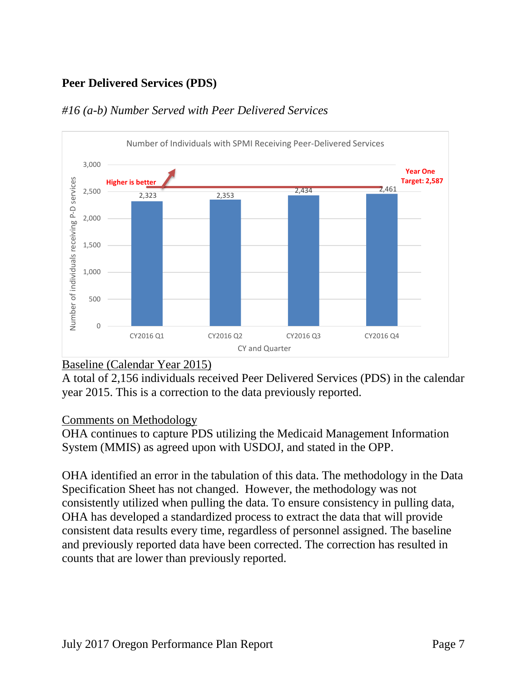# **Peer Delivered Services (PDS)**



### *#16 (a-b) Number Served with Peer Delivered Services*

## Baseline (Calendar Year 2015)

A total of 2,156 individuals received Peer Delivered Services (PDS) in the calendar year 2015. This is a correction to the data previously reported.

### Comments on Methodology

OHA continues to capture PDS utilizing the Medicaid Management Information System (MMIS) as agreed upon with USDOJ, and stated in the OPP.

OHA identified an error in the tabulation of this data. The methodology in the Data Specification Sheet has not changed. However, the methodology was not consistently utilized when pulling the data. To ensure consistency in pulling data, OHA has developed a standardized process to extract the data that will provide consistent data results every time, regardless of personnel assigned. The baseline and previously reported data have been corrected. The correction has resulted in counts that are lower than previously reported.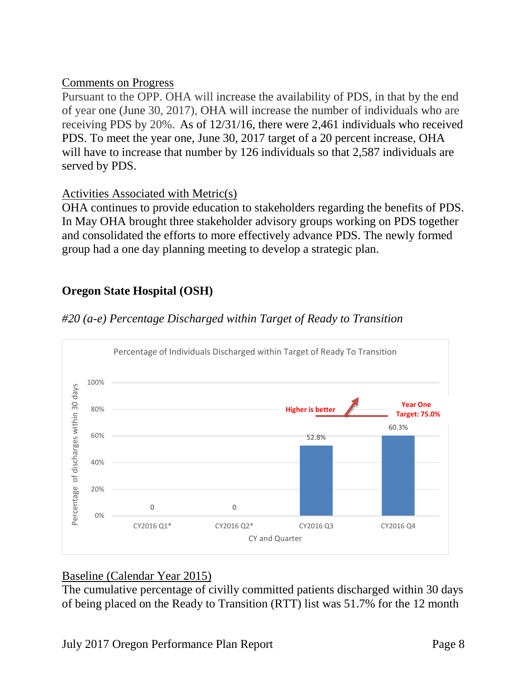Pursuant to the OPP. OHA will increase the availability of PDS, in that by the end of year one (June 30, 2017), OHA will increase the number of individuals who are receiving PDS by 20%. As of 12/31/16, there were 2,461 individuals who received PDS. To meet the year one, June 30, 2017 target of a 20 percent increase, OHA will have to increase that number by 126 individuals so that 2,587 individuals are served by PDS.

## Activities Associated with Metric(s)

OHA continues to provide education to stakeholders regarding the benefits of PDS. In May OHA brought three stakeholder advisory groups working on PDS together and consolidated the efforts to more effectively advance PDS. The newly formed group had a one day planning meeting to develop a strategic plan.

# **Oregon State Hospital (OSH)**



## *#20 (a-e) Percentage Discharged within Target of Ready to Transition*

## Baseline (Calendar Year 2015)

The cumulative percentage of civilly committed patients discharged within 30 days of being placed on the Ready to Transition (RTT) list was 51.7% for the 12 month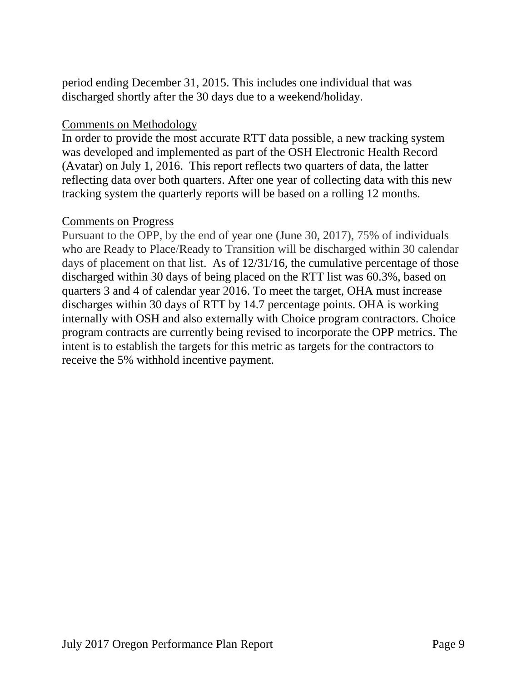period ending December 31, 2015. This includes one individual that was discharged shortly after the 30 days due to a weekend/holiday.

### Comments on Methodology

In order to provide the most accurate RTT data possible, a new tracking system was developed and implemented as part of the OSH Electronic Health Record (Avatar) on July 1, 2016. This report reflects two quarters of data, the latter reflecting data over both quarters. After one year of collecting data with this new tracking system the quarterly reports will be based on a rolling 12 months.

### Comments on Progress

Pursuant to the OPP, by the end of year one (June 30, 2017), 75% of individuals who are Ready to Place/Ready to Transition will be discharged within 30 calendar days of placement on that list. As of  $12/31/16$ , the cumulative percentage of those discharged within 30 days of being placed on the RTT list was 60.3%, based on quarters 3 and 4 of calendar year 2016. To meet the target, OHA must increase discharges within 30 days of RTT by 14.7 percentage points. OHA is working internally with OSH and also externally with Choice program contractors. Choice program contracts are currently being revised to incorporate the OPP metrics. The intent is to establish the targets for this metric as targets for the contractors to receive the 5% withhold incentive payment.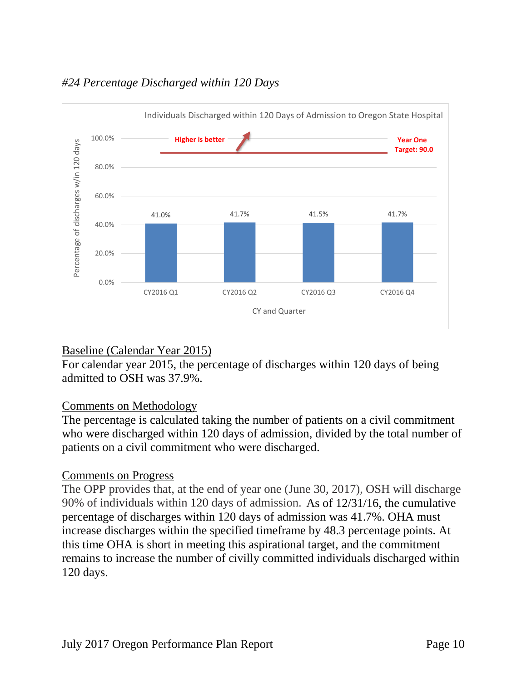

# *#24 Percentage Discharged within 120 Days*

## Baseline (Calendar Year 2015)

For calendar year 2015, the percentage of discharges within 120 days of being admitted to OSH was 37.9%.

### Comments on Methodology

The percentage is calculated taking the number of patients on a civil commitment who were discharged within 120 days of admission, divided by the total number of patients on a civil commitment who were discharged.

### Comments on Progress

The OPP provides that, at the end of year one (June 30, 2017), OSH will discharge 90% of individuals within 120 days of admission. As of 12/31/16, the cumulative percentage of discharges within 120 days of admission was 41.7%. OHA must increase discharges within the specified timeframe by 48.3 percentage points. At this time OHA is short in meeting this aspirational target, and the commitment remains to increase the number of civilly committed individuals discharged within 120 days.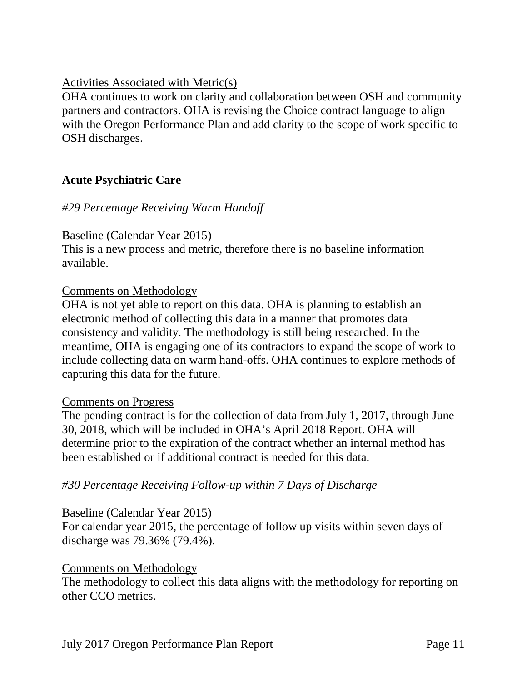### Activities Associated with Metric(s)

OHA continues to work on clarity and collaboration between OSH and community partners and contractors. OHA is revising the Choice contract language to align with the Oregon Performance Plan and add clarity to the scope of work specific to OSH discharges.

### **Acute Psychiatric Care**

### *#29 Percentage Receiving Warm Handoff*

#### Baseline (Calendar Year 2015)

This is a new process and metric, therefore there is no baseline information available.

#### Comments on Methodology

OHA is not yet able to report on this data. OHA is planning to establish an electronic method of collecting this data in a manner that promotes data consistency and validity. The methodology is still being researched. In the meantime, OHA is engaging one of its contractors to expand the scope of work to include collecting data on warm hand-offs. OHA continues to explore methods of capturing this data for the future.

#### Comments on Progress

The pending contract is for the collection of data from July 1, 2017, through June 30, 2018, which will be included in OHA's April 2018 Report. OHA will determine prior to the expiration of the contract whether an internal method has been established or if additional contract is needed for this data.

### *#30 Percentage Receiving Follow-up within 7 Days of Discharge*

#### Baseline (Calendar Year 2015)

For calendar year 2015, the percentage of follow up visits within seven days of discharge was 79.36% (79.4%).

#### Comments on Methodology

The methodology to collect this data aligns with the methodology for reporting on other CCO metrics.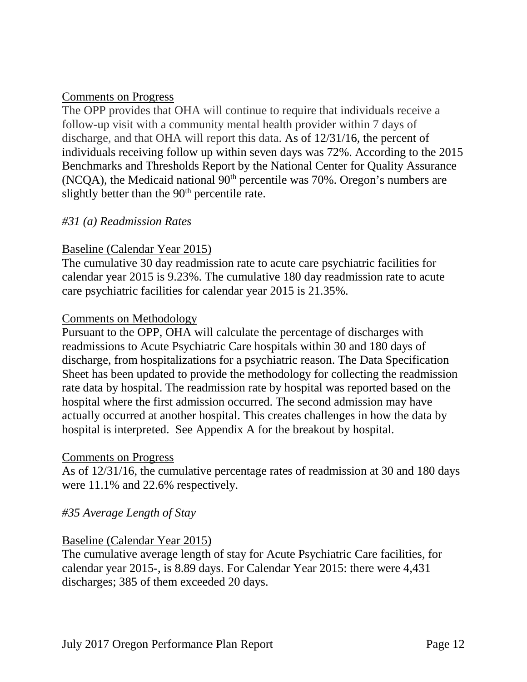The OPP provides that OHA will continue to require that individuals receive a follow-up visit with a community mental health provider within 7 days of discharge, and that OHA will report this data. As of 12/31/16, the percent of individuals receiving follow up within seven days was 72%. According to the 2015 Benchmarks and Thresholds Report by the National Center for Quality Assurance (NCQA), the Medicaid national  $90<sup>th</sup>$  percentile was 70%. Oregon's numbers are slightly better than the  $90<sup>th</sup>$  percentile rate.

### *#31 (a) Readmission Rates*

### Baseline (Calendar Year 2015)

The cumulative 30 day readmission rate to acute care psychiatric facilities for calendar year 2015 is 9.23%. The cumulative 180 day readmission rate to acute care psychiatric facilities for calendar year 2015 is 21.35%.

#### Comments on Methodology

Pursuant to the OPP, OHA will calculate the percentage of discharges with readmissions to Acute Psychiatric Care hospitals within 30 and 180 days of discharge, from hospitalizations for a psychiatric reason. The Data Specification Sheet has been updated to provide the methodology for collecting the readmission rate data by hospital. The readmission rate by hospital was reported based on the hospital where the first admission occurred. The second admission may have actually occurred at another hospital. This creates challenges in how the data by hospital is interpreted. See Appendix A for the breakout by hospital.

#### Comments on Progress

As of 12/31/16, the cumulative percentage rates of readmission at 30 and 180 days were 11.1% and 22.6% respectively.

### *#35 Average Length of Stay*

### Baseline (Calendar Year 2015)

The cumulative average length of stay for Acute Psychiatric Care facilities, for calendar year 2015-, is 8.89 days. For Calendar Year 2015: there were 4,431 discharges; 385 of them exceeded 20 days.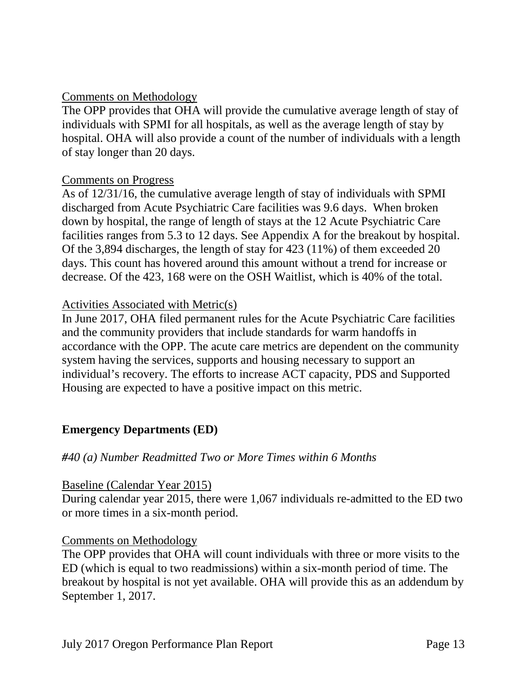### Comments on Methodology

The OPP provides that OHA will provide the cumulative average length of stay of individuals with SPMI for all hospitals, as well as the average length of stay by hospital. OHA will also provide a count of the number of individuals with a length of stay longer than 20 days.

### Comments on Progress

As of 12/31/16, the cumulative average length of stay of individuals with SPMI discharged from Acute Psychiatric Care facilities was 9.6 days. When broken down by hospital, the range of length of stays at the 12 Acute Psychiatric Care facilities ranges from 5.3 to 12 days. See Appendix A for the breakout by hospital. Of the 3,894 discharges, the length of stay for 423 (11%) of them exceeded 20 days. This count has hovered around this amount without a trend for increase or decrease. Of the 423, 168 were on the OSH Waitlist, which is 40% of the total.

### Activities Associated with Metric(s)

In June 2017, OHA filed permanent rules for the Acute Psychiatric Care facilities and the community providers that include standards for warm handoffs in accordance with the OPP. The acute care metrics are dependent on the community system having the services, supports and housing necessary to support an individual's recovery. The efforts to increase ACT capacity, PDS and Supported Housing are expected to have a positive impact on this metric.

## **Emergency Departments (ED)**

## *#40 (a) Number Readmitted Two or More Times within 6 Months*

### Baseline (Calendar Year 2015)

During calendar year 2015, there were 1,067 individuals re-admitted to the ED two or more times in a six-month period.

### Comments on Methodology

The OPP provides that OHA will count individuals with three or more visits to the ED (which is equal to two readmissions) within a six-month period of time. The breakout by hospital is not yet available. OHA will provide this as an addendum by September 1, 2017.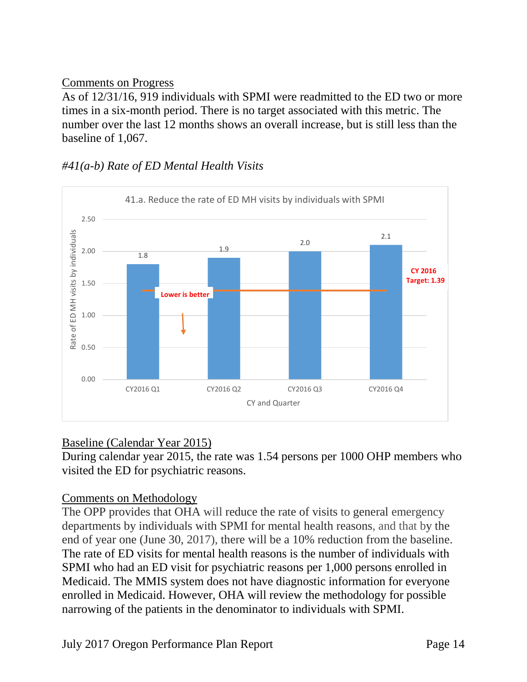As of 12/31/16, 919 individuals with SPMI were readmitted to the ED two or more times in a six-month period. There is no target associated with this metric. The number over the last 12 months shows an overall increase, but is still less than the baseline of 1,067.

# *#41(a-b) Rate of ED Mental Health Visits*



## Baseline (Calendar Year 2015)

During calendar year 2015, the rate was 1.54 persons per 1000 OHP members who visited the ED for psychiatric reasons.

## Comments on Methodology

The OPP provides that OHA will reduce the rate of visits to general emergency departments by individuals with SPMI for mental health reasons, and that by the end of year one (June 30, 2017), there will be a 10% reduction from the baseline. The rate of ED visits for mental health reasons is the number of individuals with SPMI who had an ED visit for psychiatric reasons per 1,000 persons enrolled in Medicaid. The MMIS system does not have diagnostic information for everyone enrolled in Medicaid. However, OHA will review the methodology for possible narrowing of the patients in the denominator to individuals with SPMI.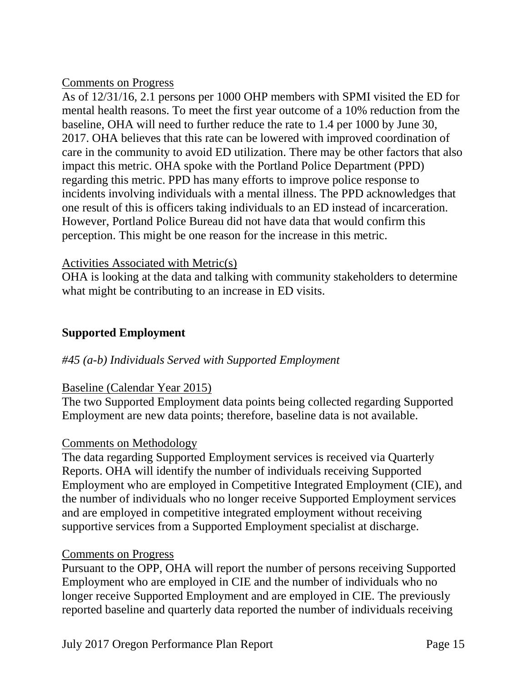As of 12/31/16, 2.1 persons per 1000 OHP members with SPMI visited the ED for mental health reasons. To meet the first year outcome of a 10% reduction from the baseline, OHA will need to further reduce the rate to 1.4 per 1000 by June 30, 2017. OHA believes that this rate can be lowered with improved coordination of care in the community to avoid ED utilization. There may be other factors that also impact this metric. OHA spoke with the Portland Police Department (PPD) regarding this metric. PPD has many efforts to improve police response to incidents involving individuals with a mental illness. The PPD acknowledges that one result of this is officers taking individuals to an ED instead of incarceration. However, Portland Police Bureau did not have data that would confirm this perception. This might be one reason for the increase in this metric.

### Activities Associated with Metric(s)

OHA is looking at the data and talking with community stakeholders to determine what might be contributing to an increase in ED visits.

## **Supported Employment**

### *#45 (a-b) Individuals Served with Supported Employment*

### Baseline (Calendar Year 2015)

The two Supported Employment data points being collected regarding Supported Employment are new data points; therefore, baseline data is not available.

### Comments on Methodology

The data regarding Supported Employment services is received via Quarterly Reports. OHA will identify the number of individuals receiving Supported Employment who are employed in Competitive Integrated Employment (CIE), and the number of individuals who no longer receive Supported Employment services and are employed in competitive integrated employment without receiving supportive services from a Supported Employment specialist at discharge.

### Comments on Progress

Pursuant to the OPP, OHA will report the number of persons receiving Supported Employment who are employed in CIE and the number of individuals who no longer receive Supported Employment and are employed in CIE. The previously reported baseline and quarterly data reported the number of individuals receiving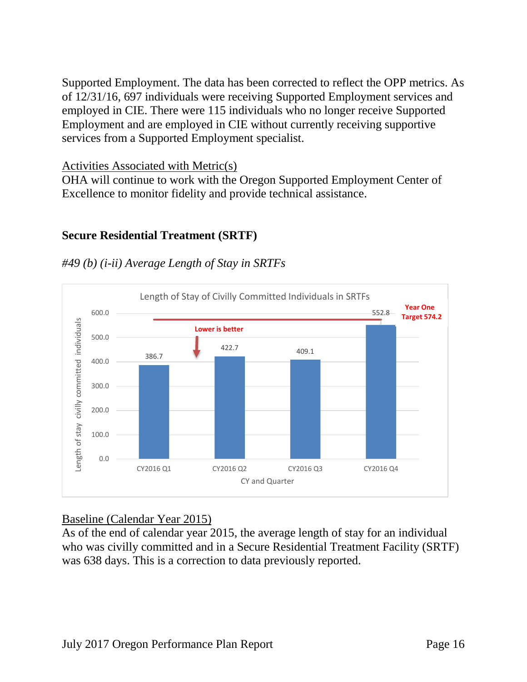Supported Employment. The data has been corrected to reflect the OPP metrics. As of 12/31/16, 697 individuals were receiving Supported Employment services and employed in CIE. There were 115 individuals who no longer receive Supported Employment and are employed in CIE without currently receiving supportive services from a Supported Employment specialist.

### Activities Associated with Metric(s)

OHA will continue to work with the Oregon Supported Employment Center of Excellence to monitor fidelity and provide technical assistance.

## **Secure Residential Treatment (SRTF)**

#### Length of Stay of Civilly Committed Individuals in SRTFs **Year One**  552.8 600.0 **Target 574.2** ength of stay civilly committed individuals Length of stay civilly committed individuals **Lower is better**500.0 422.7 409.1 386.7 400.0 300.0 200.0 100.0 0.0 CY2016 Q1 CY2016 Q2 CY2016 Q3 CY2016 Q4 CY and Quarter

## *#49 (b) (i-ii) Average Length of Stay in SRTFs*

## Baseline (Calendar Year 2015)

As of the end of calendar year 2015, the average length of stay for an individual who was civilly committed and in a Secure Residential Treatment Facility (SRTF) was 638 days. This is a correction to data previously reported.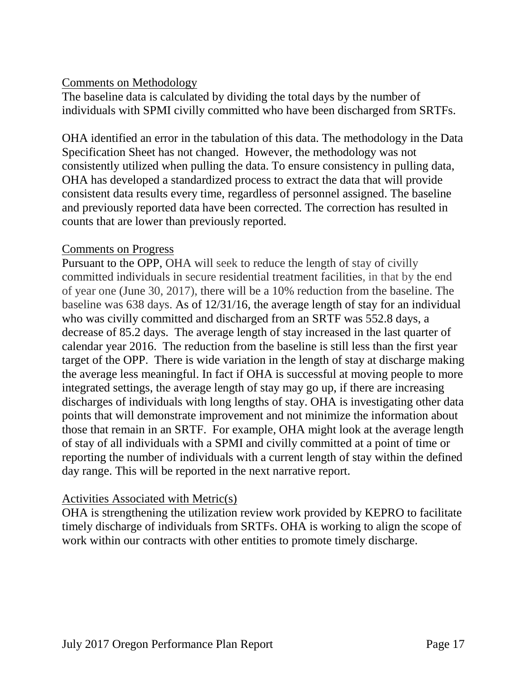### Comments on Methodology

The baseline data is calculated by dividing the total days by the number of individuals with SPMI civilly committed who have been discharged from SRTFs.

OHA identified an error in the tabulation of this data. The methodology in the Data Specification Sheet has not changed. However, the methodology was not consistently utilized when pulling the data. To ensure consistency in pulling data, OHA has developed a standardized process to extract the data that will provide consistent data results every time, regardless of personnel assigned. The baseline and previously reported data have been corrected. The correction has resulted in counts that are lower than previously reported.

### Comments on Progress

Pursuant to the OPP, OHA will seek to reduce the length of stay of civilly committed individuals in secure residential treatment facilities, in that by the end of year one (June 30, 2017), there will be a 10% reduction from the baseline. The baseline was 638 days. As of 12/31/16, the average length of stay for an individual who was civilly committed and discharged from an SRTF was 552.8 days, a decrease of 85.2 days. The average length of stay increased in the last quarter of calendar year 2016. The reduction from the baseline is still less than the first year target of the OPP. There is wide variation in the length of stay at discharge making the average less meaningful. In fact if OHA is successful at moving people to more integrated settings, the average length of stay may go up, if there are increasing discharges of individuals with long lengths of stay. OHA is investigating other data points that will demonstrate improvement and not minimize the information about those that remain in an SRTF. For example, OHA might look at the average length of stay of all individuals with a SPMI and civilly committed at a point of time or reporting the number of individuals with a current length of stay within the defined day range. This will be reported in the next narrative report.

## Activities Associated with Metric(s)

OHA is strengthening the utilization review work provided by KEPRO to facilitate timely discharge of individuals from SRTFs. OHA is working to align the scope of work within our contracts with other entities to promote timely discharge.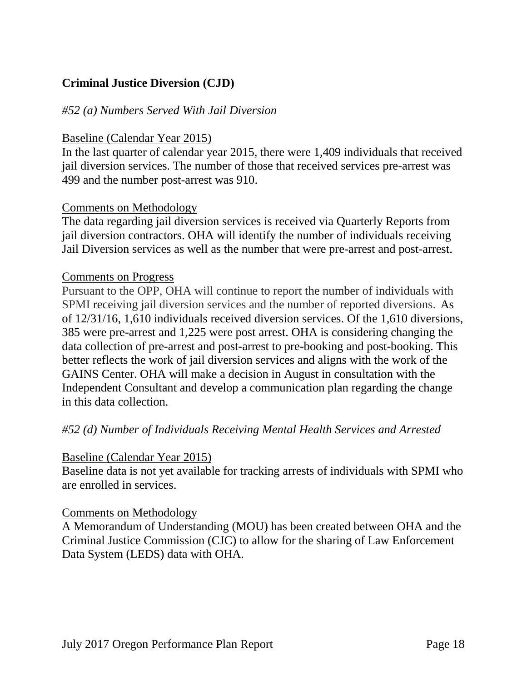# **Criminal Justice Diversion (CJD)**

### *#52 (a) Numbers Served With Jail Diversion*

#### Baseline (Calendar Year 2015)

In the last quarter of calendar year 2015, there were 1,409 individuals that received jail diversion services. The number of those that received services pre-arrest was 499 and the number post-arrest was 910.

#### Comments on Methodology

The data regarding jail diversion services is received via Quarterly Reports from jail diversion contractors. OHA will identify the number of individuals receiving Jail Diversion services as well as the number that were pre-arrest and post-arrest.

#### Comments on Progress

Pursuant to the OPP, OHA will continue to report the number of individuals with SPMI receiving jail diversion services and the number of reported diversions. As of 12/31/16, 1,610 individuals received diversion services. Of the 1,610 diversions, 385 were pre-arrest and 1,225 were post arrest. OHA is considering changing the data collection of pre-arrest and post-arrest to pre-booking and post-booking. This better reflects the work of jail diversion services and aligns with the work of the GAINS Center. OHA will make a decision in August in consultation with the Independent Consultant and develop a communication plan regarding the change in this data collection.

### *#52 (d) Number of Individuals Receiving Mental Health Services and Arrested*

#### Baseline (Calendar Year 2015)

Baseline data is not yet available for tracking arrests of individuals with SPMI who are enrolled in services.

#### Comments on Methodology

A Memorandum of Understanding (MOU) has been created between OHA and the Criminal Justice Commission (CJC) to allow for the sharing of Law Enforcement Data System (LEDS) data with OHA.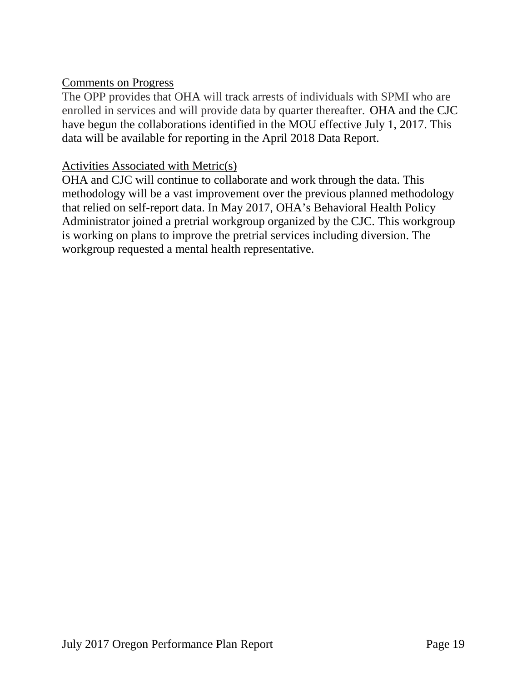The OPP provides that OHA will track arrests of individuals with SPMI who are enrolled in services and will provide data by quarter thereafter. OHA and the CJC have begun the collaborations identified in the MOU effective July 1, 2017. This data will be available for reporting in the April 2018 Data Report.

### Activities Associated with Metric(s)

OHA and CJC will continue to collaborate and work through the data. This methodology will be a vast improvement over the previous planned methodology that relied on self-report data. In May 2017, OHA's Behavioral Health Policy Administrator joined a pretrial workgroup organized by the CJC. This workgroup is working on plans to improve the pretrial services including diversion. The workgroup requested a mental health representative.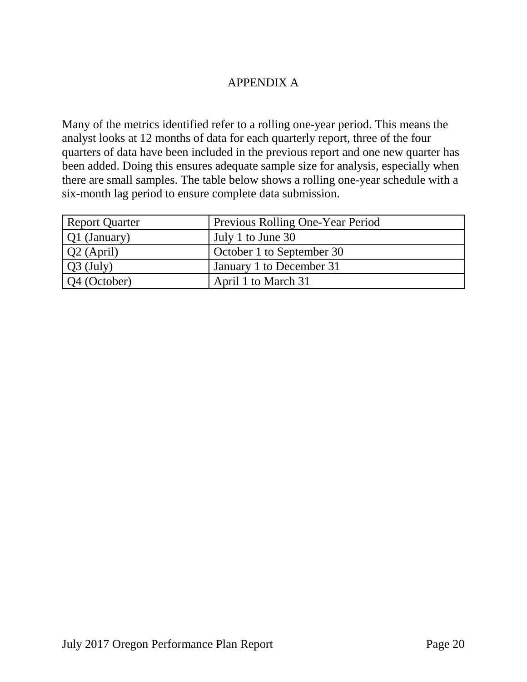### APPENDIX A

Many of the metrics identified refer to a rolling one-year period. This means the analyst looks at 12 months of data for each quarterly report, three of the four quarters of data have been included in the previous report and one new quarter has been added. Doing this ensures adequate sample size for analysis, especially when there are small samples. The table below shows a rolling one-year schedule with a six-month lag period to ensure complete data submission.

| <b>Report Quarter</b> | Previous Rolling One-Year Period |
|-----------------------|----------------------------------|
| $\vert$ Q1 (January)  | July 1 to June 30                |
| $Q2$ (April)          | October 1 to September 30        |
| $\sqrt{Q_3}$ (July)   | January 1 to December 31         |
| Q4 (October)          | April 1 to March 31              |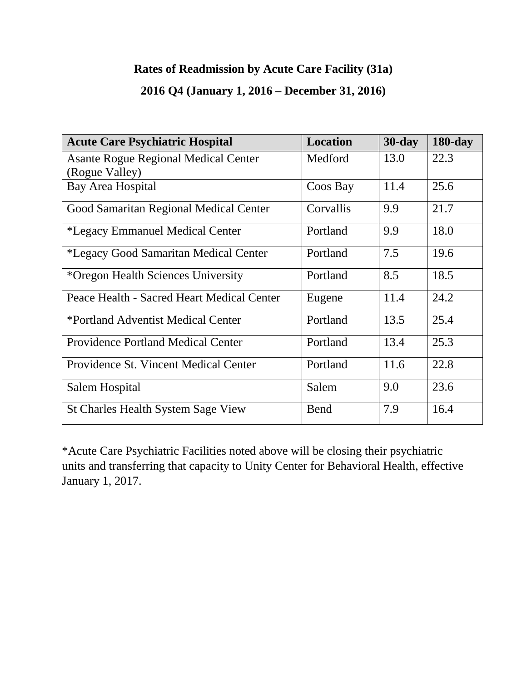# **Rates of Readmission by Acute Care Facility (31a)**

# **2016 Q4 (January 1, 2016 – December 31, 2016)**

| <b>Acute Care Psychiatric Hospital</b>                        | <b>Location</b> | $30$ -day | $180$ -day |
|---------------------------------------------------------------|-----------------|-----------|------------|
| <b>Asante Rogue Regional Medical Center</b><br>(Rogue Valley) | Medford         | 13.0      | 22.3       |
| Bay Area Hospital                                             | Coos Bay        | 11.4      | 25.6       |
| Good Samaritan Regional Medical Center                        | Corvallis       | 9.9       | 21.7       |
| *Legacy Emmanuel Medical Center                               | Portland        | 9.9       | 18.0       |
| *Legacy Good Samaritan Medical Center                         | Portland        | 7.5       | 19.6       |
| *Oregon Health Sciences University                            | Portland        | 8.5       | 18.5       |
| Peace Health - Sacred Heart Medical Center                    | Eugene          | 11.4      | 24.2       |
| *Portland Adventist Medical Center                            | Portland        | 13.5      | 25.4       |
| <b>Providence Portland Medical Center</b>                     | Portland        | 13.4      | 25.3       |
| Providence St. Vincent Medical Center                         | Portland        | 11.6      | 22.8       |
| Salem Hospital                                                | Salem           | 9.0       | 23.6       |
| <b>St Charles Health System Sage View</b>                     | <b>Bend</b>     | 7.9       | 16.4       |

\*Acute Care Psychiatric Facilities noted above will be closing their psychiatric units and transferring that capacity to Unity Center for Behavioral Health, effective January 1, 2017.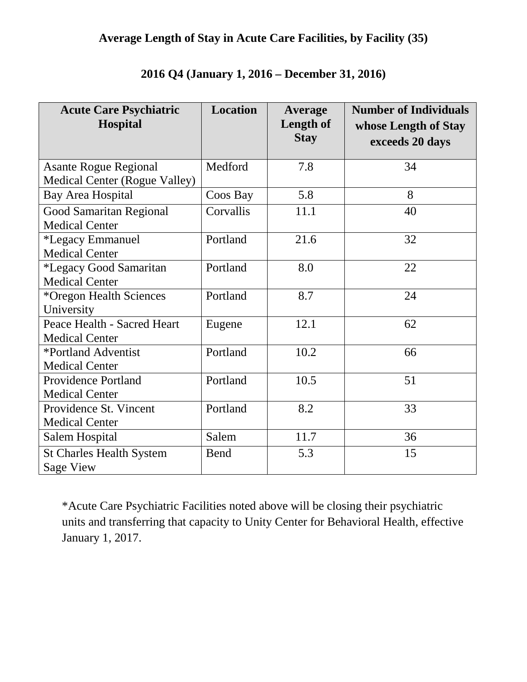# **Average Length of Stay in Acute Care Facilities, by Facility (35)**

| <b>Acute Care Psychiatric</b><br><b>Hospital</b>              | <b>Location</b> | Average<br><b>Length of</b><br><b>Stay</b> | <b>Number of Individuals</b><br>whose Length of Stay<br>exceeds 20 days |
|---------------------------------------------------------------|-----------------|--------------------------------------------|-------------------------------------------------------------------------|
| <b>Asante Rogue Regional</b><br>Medical Center (Rogue Valley) | Medford         | 7.8                                        | 34                                                                      |
| Bay Area Hospital                                             | Coos Bay        | 5.8                                        | 8                                                                       |
| <b>Good Samaritan Regional</b><br><b>Medical Center</b>       | Corvallis       | 11.1                                       | 40                                                                      |
| <i>*Legacy Emmanuel</i><br><b>Medical Center</b>              | Portland        | 21.6                                       | 32                                                                      |
| *Legacy Good Samaritan<br><b>Medical Center</b>               | Portland        | 8.0                                        | 22                                                                      |
| *Oregon Health Sciences<br>University                         | Portland        | 8.7                                        | 24                                                                      |
| Peace Health - Sacred Heart<br><b>Medical Center</b>          | Eugene          | 12.1                                       | 62                                                                      |
| *Portland Adventist<br><b>Medical Center</b>                  | Portland        | 10.2                                       | 66                                                                      |
| <b>Providence Portland</b><br><b>Medical Center</b>           | Portland        | 10.5                                       | 51                                                                      |
| Providence St. Vincent<br><b>Medical Center</b>               | Portland        | 8.2                                        | 33                                                                      |
| Salem Hospital                                                | Salem           | 11.7                                       | 36                                                                      |
| <b>St Charles Health System</b><br><b>Sage View</b>           | <b>Bend</b>     | 5.3                                        | 15                                                                      |

# **2016 Q4 (January 1, 2016 – December 31, 2016)**

\*Acute Care Psychiatric Facilities noted above will be closing their psychiatric units and transferring that capacity to Unity Center for Behavioral Health, effective January 1, 2017.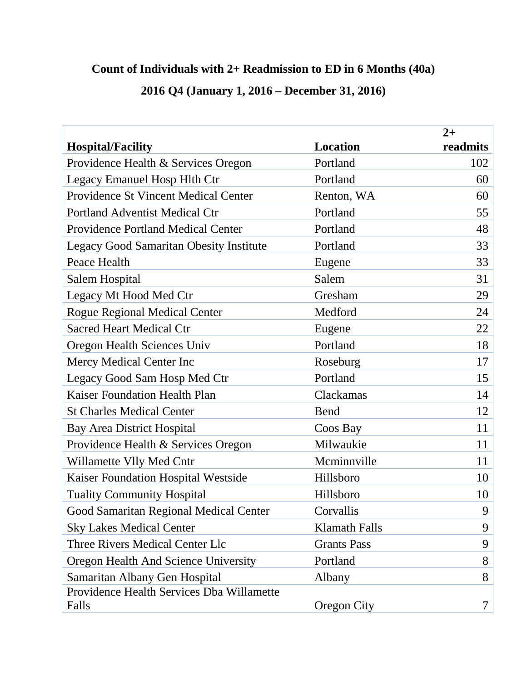# **Count of Individuals with 2+ Readmission to ED in 6 Months (40a)**

| 2016 Q4 (January 1, 2016 – December 31, 2016) |  |
|-----------------------------------------------|--|
|-----------------------------------------------|--|

|                                                |                      | $2+$     |
|------------------------------------------------|----------------------|----------|
| <b>Hospital/Facility</b>                       | <b>Location</b>      | readmits |
| Providence Health & Services Oregon            | Portland             | 102      |
| <b>Legacy Emanuel Hosp Hlth Ctr</b>            | Portland             | 60       |
| <b>Providence St Vincent Medical Center</b>    | Renton, WA           | 60       |
| <b>Portland Adventist Medical Ctr</b>          | Portland             | 55       |
| <b>Providence Portland Medical Center</b>      | Portland             | 48       |
| <b>Legacy Good Samaritan Obesity Institute</b> | Portland             | 33       |
| Peace Health                                   | Eugene               | 33       |
| Salem Hospital                                 | Salem                | 31       |
| Legacy Mt Hood Med Ctr                         | Gresham              | 29       |
| <b>Rogue Regional Medical Center</b>           | Medford              | 24       |
| <b>Sacred Heart Medical Ctr</b>                | Eugene               | 22       |
| Oregon Health Sciences Univ                    | Portland             | 18       |
| Mercy Medical Center Inc                       | Roseburg             | 17       |
| Legacy Good Sam Hosp Med Ctr                   | Portland             | 15       |
| <b>Kaiser Foundation Health Plan</b>           | Clackamas            | 14       |
| <b>St Charles Medical Center</b>               | Bend                 | 12       |
| <b>Bay Area District Hospital</b>              | Coos Bay             | 11       |
| Providence Health & Services Oregon            | Milwaukie            | 11       |
| Willamette Vlly Med Cntr                       | Mcminnville          | 11       |
| Kaiser Foundation Hospital Westside            | Hillsboro            | 10       |
| <b>Tuality Community Hospital</b>              | Hillsboro            | 10       |
| Good Samaritan Regional Medical Center         | Corvallis            | 9        |
| <b>Sky Lakes Medical Center</b>                | <b>Klamath Falls</b> | 9        |
| Three Rivers Medical Center Llc                | <b>Grants Pass</b>   | 9        |
| Oregon Health And Science University           | Portland             | 8        |
| Samaritan Albany Gen Hospital                  | Albany               | 8        |
| Providence Health Services Dba Willamette      |                      |          |
| Falls                                          | <b>Oregon City</b>   | 7        |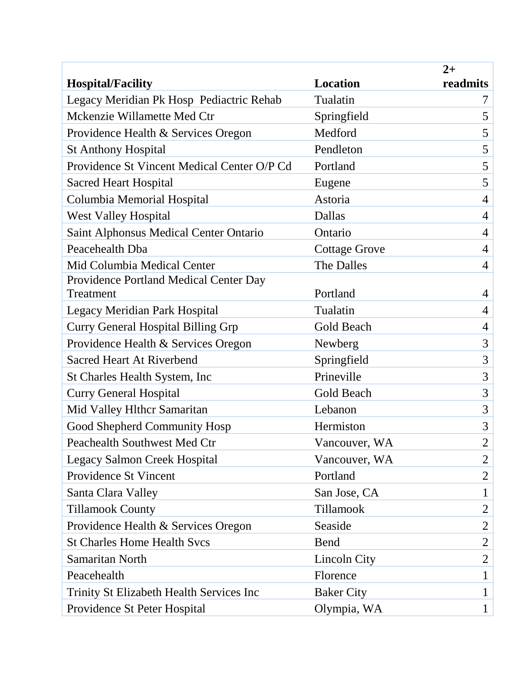|                                               |                      | $2+$           |
|-----------------------------------------------|----------------------|----------------|
| <b>Hospital/Facility</b>                      | <b>Location</b>      | readmits       |
| Legacy Meridian Pk Hosp Pediactric Rehab      | Tualatin             | 7              |
| Mckenzie Willamette Med Ctr                   | Springfield          | 5              |
| Providence Health & Services Oregon           | Medford              | 5              |
| <b>St Anthony Hospital</b>                    | Pendleton            | 5              |
| Providence St Vincent Medical Center O/P Cd   | Portland             | 5              |
| <b>Sacred Heart Hospital</b>                  | Eugene               | 5              |
| Columbia Memorial Hospital                    | Astoria              | $\overline{4}$ |
| <b>West Valley Hospital</b>                   | Dallas               | $\overline{4}$ |
| <b>Saint Alphonsus Medical Center Ontario</b> | Ontario              | $\overline{4}$ |
| Peacehealth Dba                               | <b>Cottage Grove</b> | $\overline{4}$ |
| Mid Columbia Medical Center                   | The Dalles           | $\overline{4}$ |
| Providence Portland Medical Center Day        |                      |                |
| Treatment                                     | Portland             | $\overline{4}$ |
| <b>Legacy Meridian Park Hospital</b>          | Tualatin             | $\overline{4}$ |
| <b>Curry General Hospital Billing Grp</b>     | Gold Beach           | $\overline{4}$ |
| Providence Health & Services Oregon           | Newberg              | 3              |
| <b>Sacred Heart At Riverbend</b>              | Springfield          | 3              |
| St Charles Health System, Inc                 | Prineville           | 3              |
| <b>Curry General Hospital</b>                 | <b>Gold Beach</b>    | 3              |
| Mid Valley Hlthcr Samaritan                   | Lebanon              | 3              |
| Good Shepherd Community Hosp                  | Hermiston            | 3              |
| Peachealth Southwest Med Ctr                  | Vancouver, WA        | $\overline{2}$ |
| <b>Legacy Salmon Creek Hospital</b>           | Vancouver, WA        | $\overline{2}$ |
| Providence St Vincent                         | Portland             | $\overline{2}$ |
| Santa Clara Valley                            | San Jose, CA         | $\mathbf{1}$   |
| <b>Tillamook County</b>                       | Tillamook            | $\overline{2}$ |
| Providence Health & Services Oregon           | Seaside              | $\overline{2}$ |
| <b>St Charles Home Health Svcs</b>            | <b>Bend</b>          | $\overline{2}$ |
| Samaritan North                               | Lincoln City         | $\overline{2}$ |
| Peacehealth                                   | Florence             | $\mathbf{1}$   |
| Trinity St Elizabeth Health Services Inc      | <b>Baker City</b>    | 1              |
| Providence St Peter Hospital                  | Olympia, WA          | $\mathbf{1}$   |